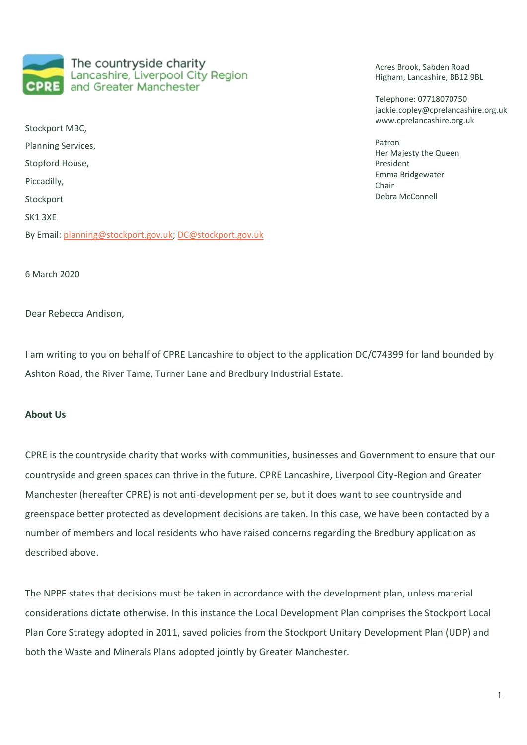The countryside charity Lancashire, Liverpool City Region and Greater Manchester

Stockport MBC, Planning Services, Stopford House, Piccadilly, Stockport SK1 3XE By Email[: planning@stockport.gov.uk;](mailto:planning@stockport.gov.uk) [DC@stockport.gov.uk](mailto:DC@stockport.gov.uk) Acres Brook, Sabden Road Higham, Lancashire, BB12 9BL

Telephone: 07718070750 jackie.copley@cprelancashire.org.uk www.cprelancashire.org.uk

Patron Her Majesty the Queen President Emma Bridgewater Chair Debra McConnell

6 March 2020

Dear Rebecca Andison,

I am writing to you on behalf of CPRE Lancashire to object to the application DC/074399 for land bounded by Ashton Road, the River Tame, Turner Lane and Bredbury Industrial Estate.

# **About Us**

CPRE is the countryside charity that works with communities, businesses and Government to ensure that our countryside and green spaces can thrive in the future. CPRE Lancashire, Liverpool City-Region and Greater Manchester (hereafter CPRE) is not anti-development per se, but it does want to see countryside and greenspace better protected as development decisions are taken. In this case, we have been contacted by a number of members and local residents who have raised concerns regarding the Bredbury application as described above.

The NPPF states that decisions must be taken in accordance with the development plan, unless material considerations dictate otherwise. In this instance the Local Development Plan comprises the Stockport Local Plan Core Strategy adopted in 2011, saved policies from the Stockport Unitary Development Plan (UDP) and both the Waste and Minerals Plans adopted jointly by Greater Manchester.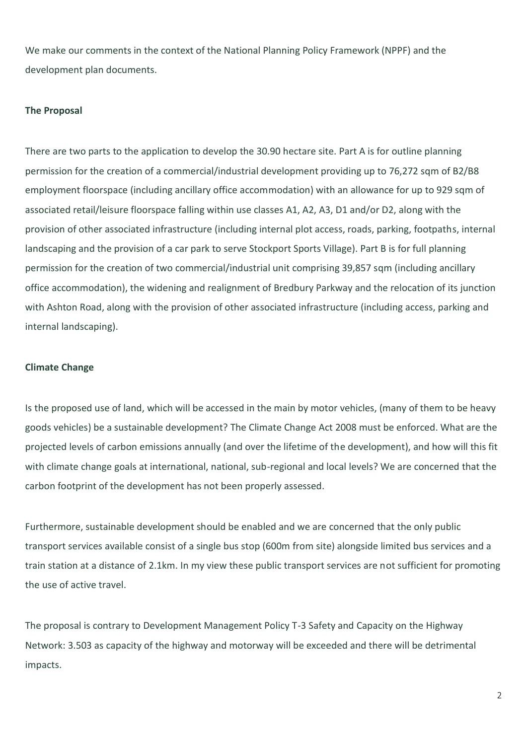We make our comments in the context of the National Planning Policy Framework (NPPF) and the development plan documents.

## **The Proposal**

There are two parts to the application to develop the 30.90 hectare site. Part A is for outline planning permission for the creation of a commercial/industrial development providing up to 76,272 sqm of B2/B8 employment floorspace (including ancillary office accommodation) with an allowance for up to 929 sqm of associated retail/leisure floorspace falling within use classes A1, A2, A3, D1 and/or D2, along with the provision of other associated infrastructure (including internal plot access, roads, parking, footpaths, internal landscaping and the provision of a car park to serve Stockport Sports Village). Part B is for full planning permission for the creation of two commercial/industrial unit comprising 39,857 sqm (including ancillary office accommodation), the widening and realignment of Bredbury Parkway and the relocation of its junction with Ashton Road, along with the provision of other associated infrastructure (including access, parking and internal landscaping).

## **Climate Change**

Is the proposed use of land, which will be accessed in the main by motor vehicles, (many of them to be heavy goods vehicles) be a sustainable development? The Climate Change Act 2008 must be enforced. What are the projected levels of carbon emissions annually (and over the lifetime of the development), and how will this fit with climate change goals at international, national, sub-regional and local levels? We are concerned that the carbon footprint of the development has not been properly assessed.

Furthermore, sustainable development should be enabled and we are concerned that the only public transport services available consist of a single bus stop (600m from site) alongside limited bus services and a train station at a distance of 2.1km. In my view these public transport services are not sufficient for promoting the use of active travel.

The proposal is contrary to Development Management Policy T-3 Safety and Capacity on the Highway Network: 3.503 as capacity of the highway and motorway will be exceeded and there will be detrimental impacts.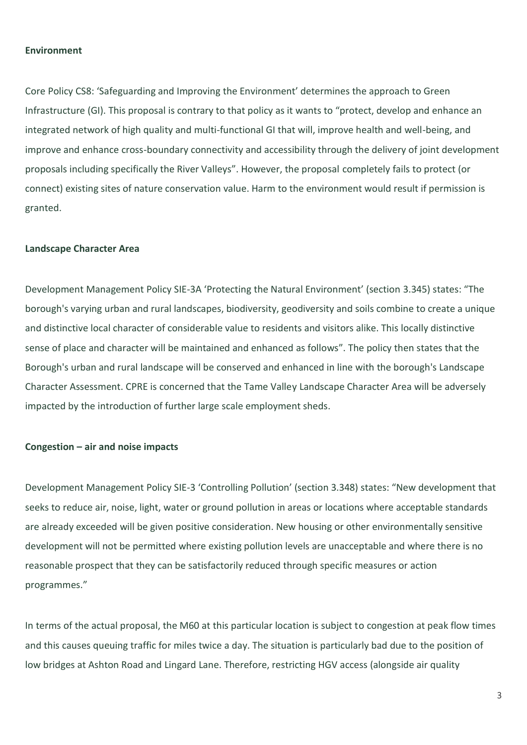#### **Environment**

Core Policy CS8: 'Safeguarding and Improving the Environment' determines the approach to Green Infrastructure (GI). This proposal is contrary to that policy as it wants to "protect, develop and enhance an integrated network of high quality and multi-functional GI that will, improve health and well-being, and improve and enhance cross-boundary connectivity and accessibility through the delivery of joint development proposals including specifically the River Valleys". However, the proposal completely fails to protect (or connect) existing sites of nature conservation value. Harm to the environment would result if permission is granted.

## **Landscape Character Area**

Development Management Policy SIE-3A 'Protecting the Natural Environment' (section 3.345) states: "The borough's varying urban and rural landscapes, biodiversity, geodiversity and soils combine to create a unique and distinctive local character of considerable value to residents and visitors alike. This locally distinctive sense of place and character will be maintained and enhanced as follows". The policy then states that the Borough's urban and rural landscape will be conserved and enhanced in line with the borough's Landscape Character Assessment. CPRE is concerned that the Tame Valley Landscape Character Area will be adversely impacted by the introduction of further large scale employment sheds.

#### **Congestion – air and noise impacts**

Development Management Policy SIE-3 'Controlling Pollution' (section 3.348) states: "New development that seeks to reduce air, noise, light, water or ground pollution in areas or locations where acceptable standards are already exceeded will be given positive consideration. New housing or other environmentally sensitive development will not be permitted where existing pollution levels are unacceptable and where there is no reasonable prospect that they can be satisfactorily reduced through specific measures or action programmes."

In terms of the actual proposal, the M60 at this particular location is subject to congestion at peak flow times and this causes queuing traffic for miles twice a day. The situation is particularly bad due to the position of low bridges at Ashton Road and Lingard Lane. Therefore, restricting HGV access (alongside air quality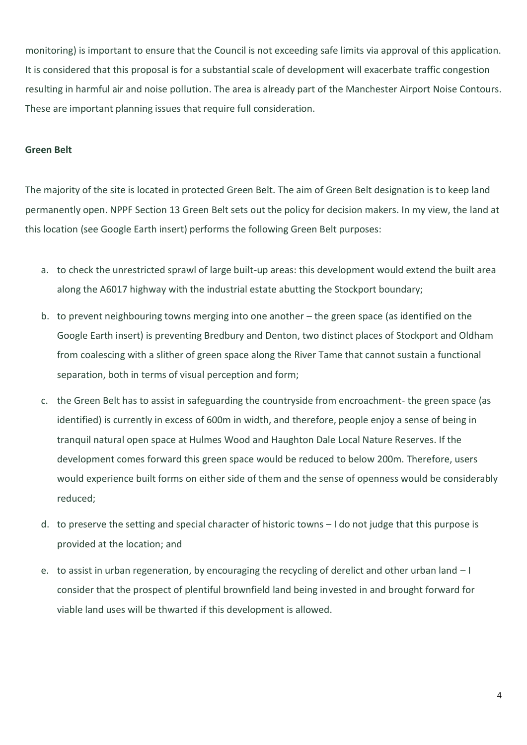monitoring) is important to ensure that the Council is not exceeding safe limits via approval of this application. It is considered that this proposal is for a substantial scale of development will exacerbate traffic congestion resulting in harmful air and noise pollution. The area is already part of the Manchester Airport Noise Contours. These are important planning issues that require full consideration.

## **Green Belt**

The majority of the site is located in protected Green Belt. The aim of Green Belt designation is to keep land permanently open. NPPF Section 13 Green Belt sets out the policy for decision makers. In my view, the land at this location (see Google Earth insert) performs the following Green Belt purposes:

- a. to check the unrestricted sprawl of large built-up areas: this development would extend the built area along the A6017 highway with the industrial estate abutting the Stockport boundary;
- b. to prevent neighbouring towns merging into one another the green space (as identified on the Google Earth insert) is preventing Bredbury and Denton, two distinct places of Stockport and Oldham from coalescing with a slither of green space along the River Tame that cannot sustain a functional separation, both in terms of visual perception and form;
- c. the Green Belt has to assist in safeguarding the countryside from encroachment- the green space (as identified) is currently in excess of 600m in width, and therefore, people enjoy a sense of being in tranquil natural open space at Hulmes Wood and Haughton Dale Local Nature Reserves. If the development comes forward this green space would be reduced to below 200m. Therefore, users would experience built forms on either side of them and the sense of openness would be considerably reduced;
- d. to preserve the setting and special character of historic towns I do not judge that this purpose is provided at the location; and
- e. to assist in urban regeneration, by encouraging the recycling of derelict and other urban land I consider that the prospect of plentiful brownfield land being invested in and brought forward for viable land uses will be thwarted if this development is allowed.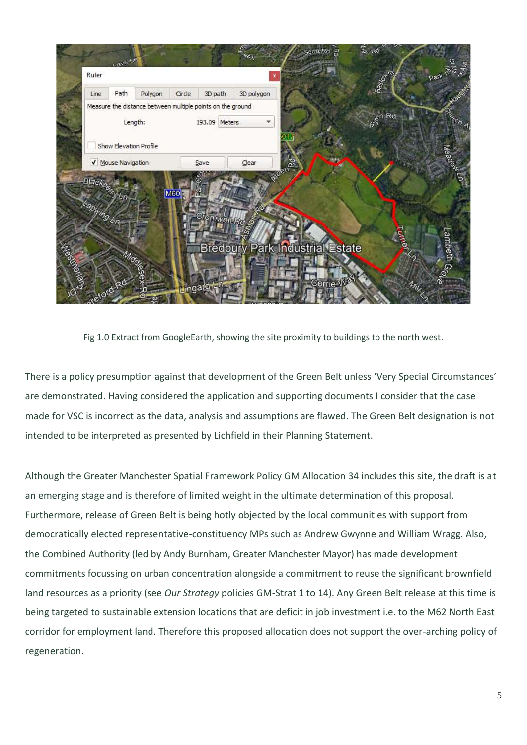

Fig 1.0 Extract from GoogleEarth, showing the site proximity to buildings to the north west.

There is a policy presumption against that development of the Green Belt unless 'Very Special Circumstances' are demonstrated. Having considered the application and supporting documents I consider that the case made for VSC is incorrect as the data, analysis and assumptions are flawed. The Green Belt designation is not intended to be interpreted as presented by Lichfield in their Planning Statement.

Although the Greater Manchester Spatial Framework Policy GM Allocation 34 includes this site, the draft is at an emerging stage and is therefore of limited weight in the ultimate determination of this proposal. Furthermore, release of Green Belt is being hotly objected by the local communities with support from democratically elected representative-constituency MPs such as Andrew Gwynne and William Wragg. Also, the Combined Authority (led by Andy Burnham, Greater Manchester Mayor) has made development commitments focussing on urban concentration alongside a commitment to reuse the significant brownfield land resources as a priority (see *Our Strategy* policies GM-Strat 1 to 14). Any Green Belt release at this time is being targeted to sustainable extension locations that are deficit in job investment i.e. to the M62 North East corridor for employment land. Therefore this proposed allocation does not support the over-arching policy of regeneration.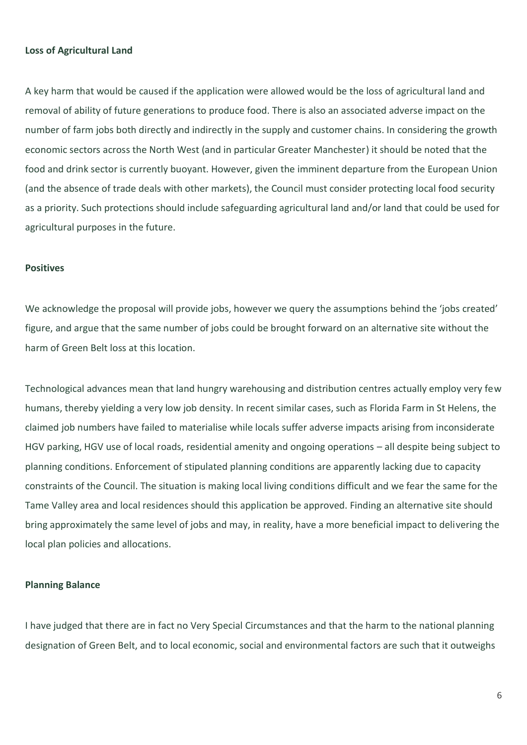### **Loss of Agricultural Land**

A key harm that would be caused if the application were allowed would be the loss of agricultural land and removal of ability of future generations to produce food. There is also an associated adverse impact on the number of farm jobs both directly and indirectly in the supply and customer chains. In considering the growth economic sectors across the North West (and in particular Greater Manchester) it should be noted that the food and drink sector is currently buoyant. However, given the imminent departure from the European Union (and the absence of trade deals with other markets), the Council must consider protecting local food security as a priority. Such protections should include safeguarding agricultural land and/or land that could be used for agricultural purposes in the future.

#### **Positives**

We acknowledge the proposal will provide jobs, however we query the assumptions behind the 'jobs created' figure, and argue that the same number of jobs could be brought forward on an alternative site without the harm of Green Belt loss at this location.

Technological advances mean that land hungry warehousing and distribution centres actually employ very few humans, thereby yielding a very low job density. In recent similar cases, such as Florida Farm in St Helens, the claimed job numbers have failed to materialise while locals suffer adverse impacts arising from inconsiderate HGV parking, HGV use of local roads, residential amenity and ongoing operations – all despite being subject to planning conditions. Enforcement of stipulated planning conditions are apparently lacking due to capacity constraints of the Council. The situation is making local living conditions difficult and we fear the same for the Tame Valley area and local residences should this application be approved. Finding an alternative site should bring approximately the same level of jobs and may, in reality, have a more beneficial impact to delivering the local plan policies and allocations.

## **Planning Balance**

I have judged that there are in fact no Very Special Circumstances and that the harm to the national planning designation of Green Belt, and to local economic, social and environmental factors are such that it outweighs